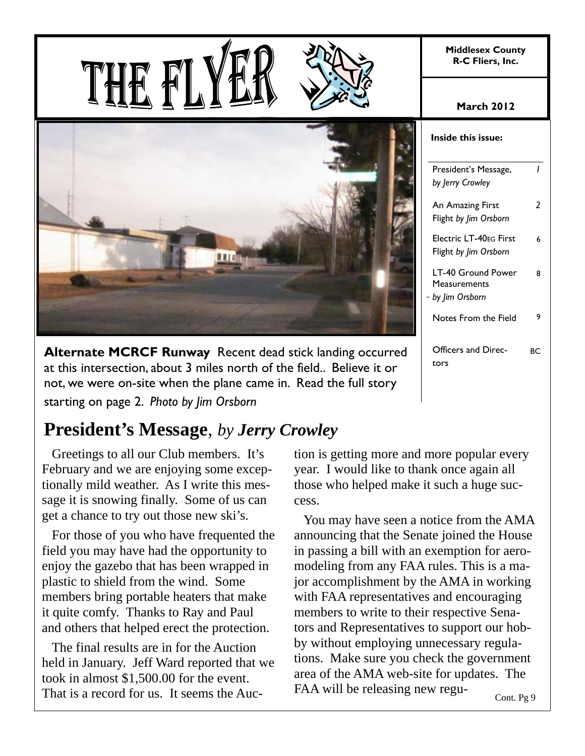**Middlesex County R-C Fliers, Inc.** 





**Alternate MCRCF Runway** Recent dead stick landing occurred at this intersection, about 3 miles north of the field.. Believe it or not, we were on-site when the plane came in. Read the full story starting on page 2. *Photo by Jim Orsborn*

## **President's Message**, *by Jerry Crowley*

 Greetings to all our Club members. It's February and we are enjoying some exceptionally mild weather. As I write this message it is snowing finally. Some of us can get a chance to try out those new ski's.

 For those of you who have frequented the field you may have had the opportunity to enjoy the gazebo that has been wrapped in plastic to shield from the wind. Some members bring portable heaters that make it quite comfy. Thanks to Ray and Paul and others that helped erect the protection.

 The final results are in for the Auction held in January. Jeff Ward reported that we took in almost \$1,500.00 for the event. That is a record for us. It seems the Auc-

tion is getting more and more popular every year. I would like to thank once again all those who helped make it such a huge success.

 You may have seen a notice from the AMA announcing that the Senate joined the House in passing a bill with an exemption for aeromodeling from any FAA rules. This is a major accomplishment by the AMA in working with FAA representatives and encouraging members to write to their respective Senators and Representatives to support our hobby without employing unnecessary regulations. Make sure you check the government area of the AMA web-site for updates. The FAA will be releasing new regu-

| Inside this issue:                                   |    |
|------------------------------------------------------|----|
| President's Message,<br>by Jerry Crowley             | ı  |
| An Amazing First<br>Flight by lim Orsborn            | 2  |
| Electric LT-40EG First<br>Flight by Jim Orsborn      | 6  |
| LT-40 Ground Power<br>Measurements<br>by Jim Orsborn | Զ  |
| Notes From the Field                                 | 9  |
| Officers and Direc-<br>tors                          | ВC |

Cont. Pg 9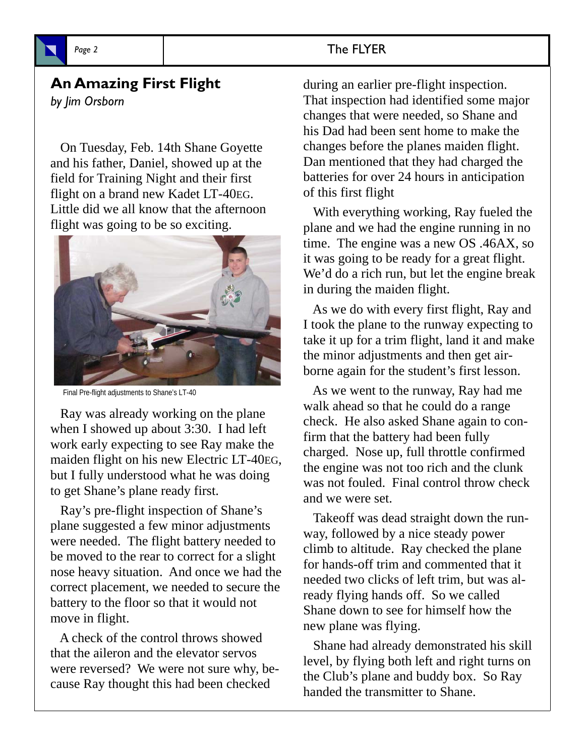

#### **An Amazing First Flight**

*by Jim Orsborn*

 On Tuesday, Feb. 14th Shane Goyette and his father, Daniel, showed up at the field for Training Night and their first flight on a brand new Kadet LT-40EG. Little did we all know that the afternoon flight was going to be so exciting.



Final Pre-flight adjustments to Shane's LT-40

 Ray was already working on the plane when I showed up about 3:30. I had left work early expecting to see Ray make the maiden flight on his new Electric LT-40EG, but I fully understood what he was doing to get Shane's plane ready first.

 Ray's pre-flight inspection of Shane's plane suggested a few minor adjustments were needed. The flight battery needed to be moved to the rear to correct for a slight nose heavy situation. And once we had the correct placement, we needed to secure the battery to the floor so that it would not move in flight.

 A check of the control throws showed that the aileron and the elevator servos were reversed? We were not sure why, because Ray thought this had been checked

during an earlier pre-flight inspection. That inspection had identified some major changes that were needed, so Shane and his Dad had been sent home to make the changes before the planes maiden flight. Dan mentioned that they had charged the batteries for over 24 hours in anticipation of this first flight

 With everything working, Ray fueled the plane and we had the engine running in no time. The engine was a new OS .46AX, so it was going to be ready for a great flight. We'd do a rich run, but let the engine break in during the maiden flight.

 As we do with every first flight, Ray and I took the plane to the runway expecting to take it up for a trim flight, land it and make the minor adjustments and then get airborne again for the student's first lesson.

 As we went to the runway, Ray had me walk ahead so that he could do a range check. He also asked Shane again to confirm that the battery had been fully charged. Nose up, full throttle confirmed the engine was not too rich and the clunk was not fouled. Final control throw check and we were set.

 Takeoff was dead straight down the runway, followed by a nice steady power climb to altitude. Ray checked the plane for hands-off trim and commented that it needed two clicks of left trim, but was already flying hands off. So we called Shane down to see for himself how the new plane was flying.

 Shane had already demonstrated his skill level, by flying both left and right turns on the Club's plane and buddy box. So Ray handed the transmitter to Shane.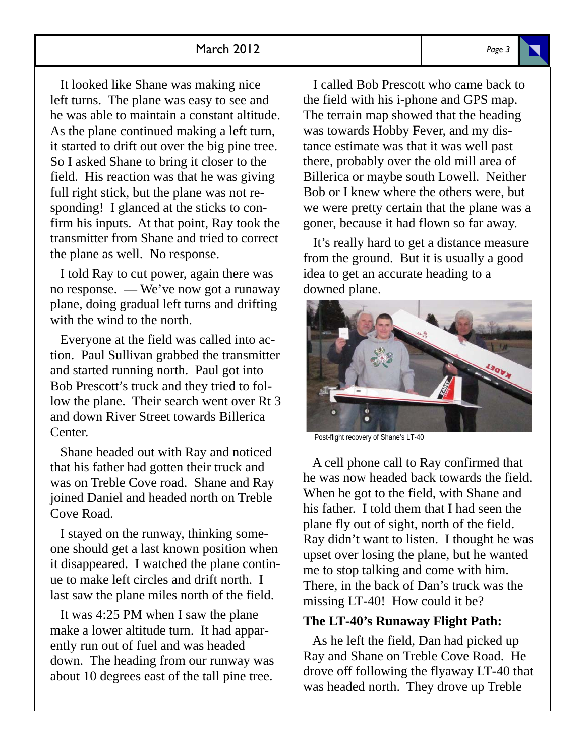#### March 2012 *Page 3*

 It looked like Shane was making nice left turns. The plane was easy to see and he was able to maintain a constant altitude. As the plane continued making a left turn, it started to drift out over the big pine tree. So I asked Shane to bring it closer to the field. His reaction was that he was giving full right stick, but the plane was not responding! I glanced at the sticks to confirm his inputs. At that point, Ray took the transmitter from Shane and tried to correct the plane as well. No response.

 I told Ray to cut power, again there was no response. — We've now got a runaway plane, doing gradual left turns and drifting with the wind to the north.

 Everyone at the field was called into action. Paul Sullivan grabbed the transmitter and started running north. Paul got into Bob Prescott's truck and they tried to follow the plane. Their search went over Rt 3 and down River Street towards Billerica Center.

 Shane headed out with Ray and noticed that his father had gotten their truck and was on Treble Cove road. Shane and Ray joined Daniel and headed north on Treble Cove Road.

 I stayed on the runway, thinking someone should get a last known position when it disappeared. I watched the plane continue to make left circles and drift north. I last saw the plane miles north of the field.

 It was 4:25 PM when I saw the plane make a lower altitude turn. It had apparently run out of fuel and was headed down. The heading from our runway was about 10 degrees east of the tall pine tree.

 I called Bob Prescott who came back to the field with his i-phone and GPS map. The terrain map showed that the heading was towards Hobby Fever, and my distance estimate was that it was well past there, probably over the old mill area of Billerica or maybe south Lowell. Neither Bob or I knew where the others were, but we were pretty certain that the plane was a goner, because it had flown so far away.

 It's really hard to get a distance measure from the ground. But it is usually a good idea to get an accurate heading to a downed plane.



Post-flight recovery of Shane's LT-40

 A cell phone call to Ray confirmed that he was now headed back towards the field. When he got to the field, with Shane and his father. I told them that I had seen the plane fly out of sight, north of the field. Ray didn't want to listen. I thought he was upset over losing the plane, but he wanted me to stop talking and come with him. There, in the back of Dan's truck was the missing LT-40! How could it be?

#### **The LT-40's Runaway Flight Path:**

 As he left the field, Dan had picked up Ray and Shane on Treble Cove Road. He drove off following the flyaway LT-40 that was headed north. They drove up Treble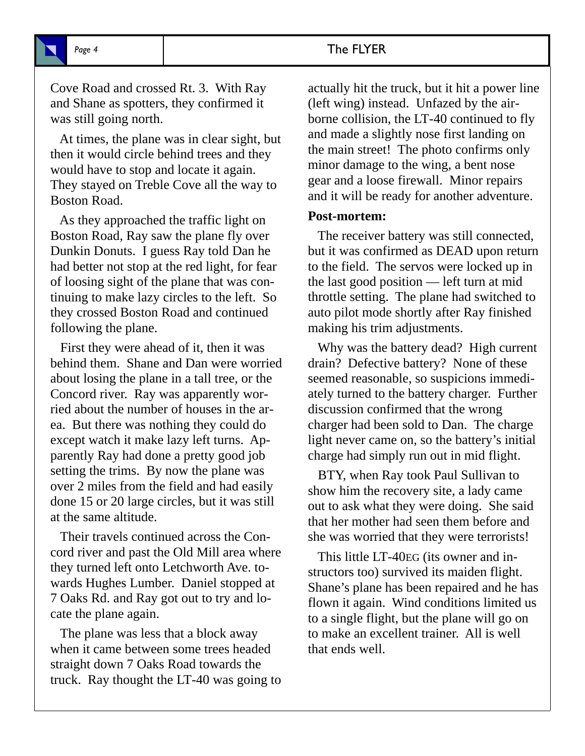#### Page 4 and The FLYER

Cove Road and crossed Rt. 3. With Ray and Shane as spotters, they confirmed it was still going north.

 At times, the plane was in clear sight, but then it would circle behind trees and they would have to stop and locate it again. They stayed on Treble Cove all the way to Boston Road.

 As they approached the traffic light on Boston Road, Ray saw the plane fly over Dunkin Donuts. I guess Ray told Dan he had better not stop at the red light, for fear of loosing sight of the plane that was continuing to make lazy circles to the left. So they crossed Boston Road and continued following the plane.

 First they were ahead of it, then it was behind them. Shane and Dan were worried about losing the plane in a tall tree, or the Concord river. Ray was apparently worried about the number of houses in the area. But there was nothing they could do except watch it make lazy left turns. Apparently Ray had done a pretty good job setting the trims. By now the plane was over 2 miles from the field and had easily done 15 or 20 large circles, but it was still at the same altitude.

 Their travels continued across the Concord river and past the Old Mill area where they turned left onto Letchworth Ave. towards Hughes Lumber. Daniel stopped at 7 Oaks Rd. and Ray got out to try and locate the plane again.

 The plane was less that a block away when it came between some trees headed straight down 7 Oaks Road towards the truck. Ray thought the LT-40 was going to actually hit the truck, but it hit a power line (left wing) instead. Unfazed by the airborne collision, the LT-40 continued to fly and made a slightly nose first landing on the main street! The photo confirms only minor damage to the wing, a bent nose gear and a loose firewall. Minor repairs and it will be ready for another adventure.

#### **Post-mortem:**

 The receiver battery was still connected, but it was confirmed as DEAD upon return to the field. The servos were locked up in the last good position — left turn at mid throttle setting. The plane had switched to auto pilot mode shortly after Ray finished making his trim adjustments.

 Why was the battery dead? High current drain? Defective battery? None of these seemed reasonable, so suspicions immediately turned to the battery charger. Further discussion confirmed that the wrong charger had been sold to Dan. The charge light never came on, so the battery's initial charge had simply run out in mid flight.

 BTY, when Ray took Paul Sullivan to show him the recovery site, a lady came out to ask what they were doing. She said that her mother had seen them before and she was worried that they were terrorists!

 This little LT-40EG (its owner and instructors too) survived its maiden flight. Shane's plane has been repaired and he has flown it again. Wind conditions limited us to a single flight, but the plane will go on to make an excellent trainer. All is well that ends well.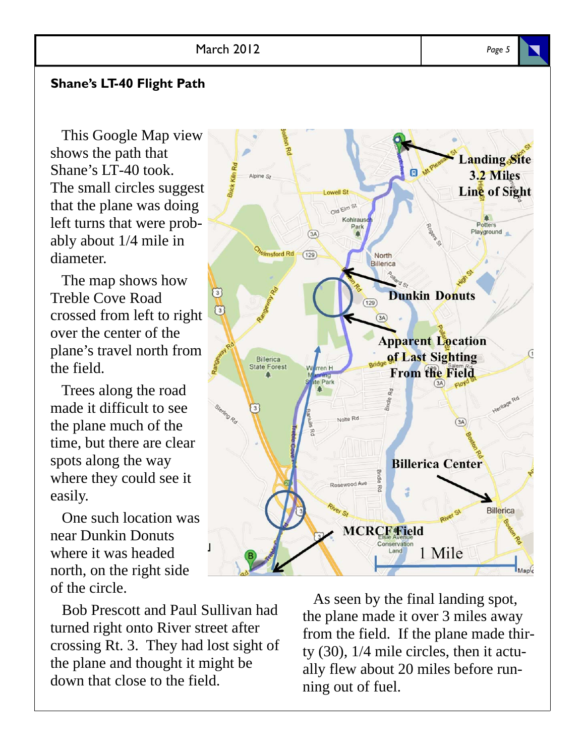#### **Shane's LT-40 Flight Path**

 This Google Map view shows the path that Shane's LT-40 took. The small circles suggest that the plane was doing left turns that were probably about 1/4 mile in diameter.

 The map shows how Treble Cove Road crossed from left to right over the center of the plane's travel north from the field.

 Trees along the road made it difficult to see the plane much of the time, but there are clear spots along the way where they could see it easily.

 One such location was near Dunkin Donuts where it was headed north, on the right side of the circle.

 Bob Prescott and Paul Sullivan had turned right onto River street after crossing Rt. 3. They had lost sight of the plane and thought it might be down that close to the field.

 As seen by the final landing spot, the plane made it over 3 miles away from the field. If the plane made thirty (30), 1/4 mile circles, then it actually flew about 20 miles before running out of fuel.



anding Site

3.2 Miles

日、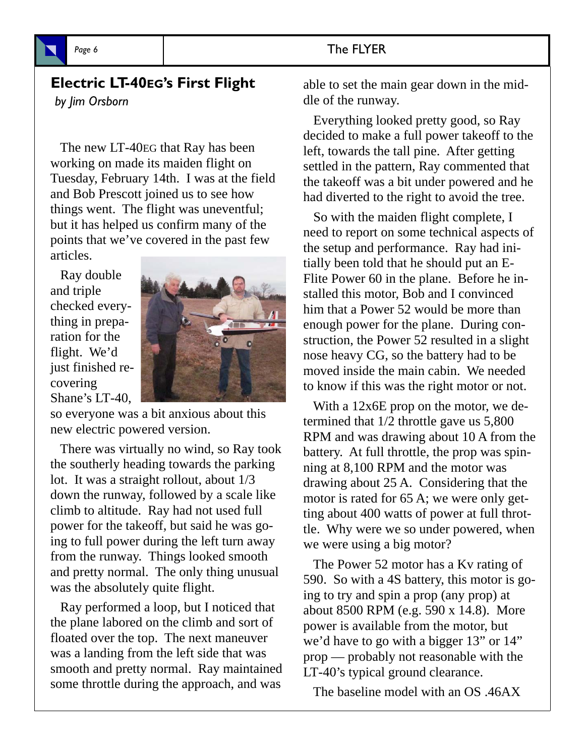#### Page 6 **The FLYER**

#### **Electric LT-40EG's First Flight**  *by Jim Orsborn*

 The new LT-40EG that Ray has been working on made its maiden flight on Tuesday, February 14th. I was at the field and Bob Prescott joined us to see how things went. The flight was uneventful; but it has helped us confirm many of the points that we've covered in the past few articles.

 Ray double and triple checked everything in preparation for the flight. We'd just finished recovering Shane's LT-40,



so everyone was a bit anxious about this new electric powered version.

 There was virtually no wind, so Ray took the southerly heading towards the parking lot. It was a straight rollout, about 1/3 down the runway, followed by a scale like climb to altitude. Ray had not used full power for the takeoff, but said he was going to full power during the left turn away from the runway. Things looked smooth and pretty normal. The only thing unusual was the absolutely quite flight.

 Ray performed a loop, but I noticed that the plane labored on the climb and sort of floated over the top. The next maneuver was a landing from the left side that was smooth and pretty normal. Ray maintained some throttle during the approach, and was

able to set the main gear down in the middle of the runway.

 Everything looked pretty good, so Ray decided to make a full power takeoff to the left, towards the tall pine. After getting settled in the pattern, Ray commented that the takeoff was a bit under powered and he had diverted to the right to avoid the tree.

 So with the maiden flight complete, I need to report on some technical aspects of the setup and performance. Ray had initially been told that he should put an E-Flite Power 60 in the plane. Before he installed this motor, Bob and I convinced him that a Power 52 would be more than enough power for the plane. During construction, the Power 52 resulted in a slight nose heavy CG, so the battery had to be moved inside the main cabin. We needed to know if this was the right motor or not.

 With a 12x6E prop on the motor, we determined that 1/2 throttle gave us 5,800 RPM and was drawing about 10 A from the battery. At full throttle, the prop was spinning at 8,100 RPM and the motor was drawing about 25 A. Considering that the motor is rated for 65 A; we were only getting about 400 watts of power at full throttle. Why were we so under powered, when we were using a big motor?

 The Power 52 motor has a Kv rating of 590. So with a 4S battery, this motor is going to try and spin a prop (any prop) at about 8500 RPM (e.g. 590 x 14.8). More power is available from the motor, but we'd have to go with a bigger 13" or 14" prop — probably not reasonable with the LT-40's typical ground clearance.

The baseline model with an OS .46AX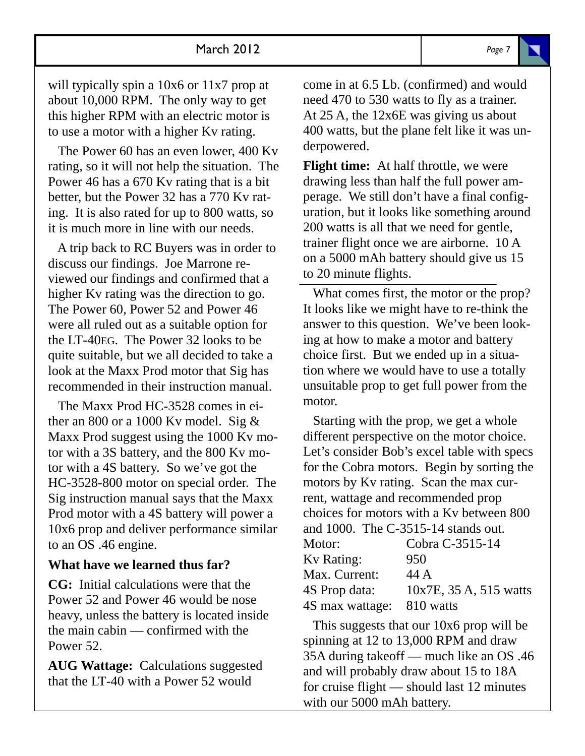will typically spin a 10x6 or 11x7 prop at about 10,000 RPM. The only way to get this higher RPM with an electric motor is to use a motor with a higher Kv rating.

 The Power 60 has an even lower, 400 Kv rating, so it will not help the situation. The Power 46 has a 670 Kv rating that is a bit better, but the Power 32 has a 770 Kv rating. It is also rated for up to 800 watts, so it is much more in line with our needs.

 A trip back to RC Buyers was in order to discuss our findings. Joe Marrone reviewed our findings and confirmed that a higher Kv rating was the direction to go. The Power 60, Power 52 and Power 46 were all ruled out as a suitable option for the LT-40EG. The Power 32 looks to be quite suitable, but we all decided to take a look at the Maxx Prod motor that Sig has recommended in their instruction manual.

 The Maxx Prod HC-3528 comes in either an 800 or a 1000 Kv model. Sig  $&$ Maxx Prod suggest using the 1000 Kv motor with a 3S battery, and the 800 Kv motor with a 4S battery. So we've got the HC-3528-800 motor on special order. The Sig instruction manual says that the Maxx Prod motor with a 4S battery will power a 10x6 prop and deliver performance similar to an OS .46 engine.

#### **What have we learned thus far?**

**CG:** Initial calculations were that the Power 52 and Power 46 would be nose heavy, unless the battery is located inside the main cabin — confirmed with the Power 52.

**AUG Wattage:** Calculations suggested that the LT-40 with a Power 52 would

come in at 6.5 Lb. (confirmed) and would need 470 to 530 watts to fly as a trainer. At 25 A, the 12x6E was giving us about 400 watts, but the plane felt like it was underpowered.

**Flight time:** At half throttle, we were drawing less than half the full power amperage. We still don't have a final configuration, but it looks like something around 200 watts is all that we need for gentle, trainer flight once we are airborne. 10 A on a 5000 mAh battery should give us 15 to 20 minute flights.

 What comes first, the motor or the prop? It looks like we might have to re-think the answer to this question. We've been looking at how to make a motor and battery choice first. But we ended up in a situation where we would have to use a totally unsuitable prop to get full power from the motor.

 Starting with the prop, we get a whole different perspective on the motor choice. Let's consider Bob's excel table with specs for the Cobra motors. Begin by sorting the motors by Kv rating. Scan the max current, wattage and recommended prop choices for motors with a Kv between 800 and 1000. The C-3515-14 stands out. Motor: Cobra C-3515-14

| 10x7E, 35 A, 515 watts |
|------------------------|
|                        |
|                        |

 This suggests that our 10x6 prop will be spinning at 12 to 13,000 RPM and draw 35A during takeoff — much like an OS .46 and will probably draw about 15 to 18A for cruise flight — should last 12 minutes with our 5000 mAh battery.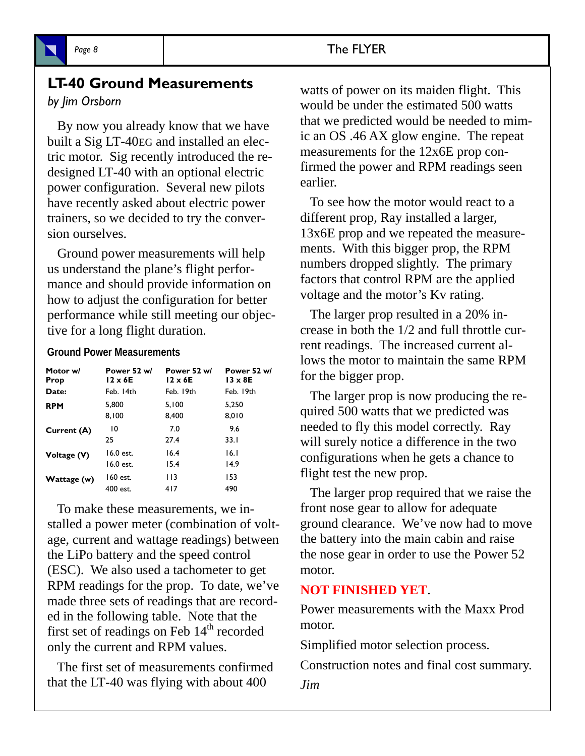

#### **LT-40 Ground Measurements**

#### *by Jim Orsborn*

 By now you already know that we have built a Sig LT-40EG and installed an electric motor. Sig recently introduced the redesigned LT-40 with an optional electric power configuration. Several new pilots have recently asked about electric power trainers, so we decided to try the conversion ourselves.

 Ground power measurements will help us understand the plane's flight performance and should provide information on how to adjust the configuration for better performance while still meeting our objective for a long flight duration.

#### **Ground Power Measurements**

| Motor w/    | Power 52 w/    | Power 52 w/    | Power 52 w/    |
|-------------|----------------|----------------|----------------|
| Prop        | $12 \times 6E$ | $12 \times 6E$ | $13 \times 8E$ |
| Date:       | Feb. 14th      | Feb. 19th      | Feb. 19th      |
| <b>RPM</b>  | 5.800          | 5.100          | 5.250          |
|             | 8,100          | 8,400          | 8,010          |
| Current (A) | 10             | 7.0            | 9.6            |
|             | 25             | 27.4           | 33.I           |
| Voltage (V) | 16.0 est.      | 16.4           | 16.1           |
|             | 16.0 est.      | 15.4           | 14.9           |
| Wattage (w) | 160 est.       | 113            | 153            |
|             | 400 est.       | 417            | 490            |

 To make these measurements, we installed a power meter (combination of voltage, current and wattage readings) between the LiPo battery and the speed control (ESC). We also used a tachometer to get RPM readings for the prop. To date, we've made three sets of readings that are recorded in the following table. Note that the first set of readings on Feb  $14<sup>th</sup>$  recorded only the current and RPM values.

 The first set of measurements confirmed that the LT-40 was flying with about 400

watts of power on its maiden flight. This would be under the estimated 500 watts that we predicted would be needed to mimic an OS .46 AX glow engine. The repeat measurements for the 12x6E prop confirmed the power and RPM readings seen earlier.

 To see how the motor would react to a different prop, Ray installed a larger, 13x6E prop and we repeated the measurements. With this bigger prop, the RPM numbers dropped slightly. The primary factors that control RPM are the applied voltage and the motor's Kv rating.

 The larger prop resulted in a 20% increase in both the 1/2 and full throttle current readings. The increased current allows the motor to maintain the same RPM for the bigger prop.

 The larger prop is now producing the required 500 watts that we predicted was needed to fly this model correctly. Ray will surely notice a difference in the two configurations when he gets a chance to flight test the new prop.

 The larger prop required that we raise the front nose gear to allow for adequate ground clearance. We've now had to move the battery into the main cabin and raise the nose gear in order to use the Power 52 motor.

#### **NOT FINISHED YET**.

Power measurements with the Maxx Prod motor.

Simplified motor selection process.

Construction notes and final cost summary.

*Jim*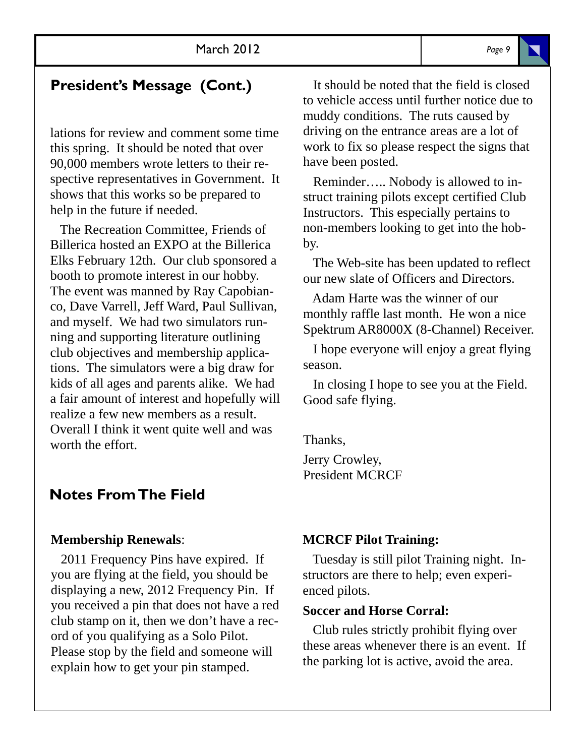### **President's Message (Cont.)**

lations for review and comment some time this spring. It should be noted that over 90,000 members wrote letters to their respective representatives in Government. It shows that this works so be prepared to help in the future if needed.

 The Recreation Committee, Friends of Billerica hosted an EXPO at the Billerica Elks February 12th. Our club sponsored a booth to promote interest in our hobby. The event was manned by Ray Capobianco, Dave Varrell, Jeff Ward, Paul Sullivan, and myself. We had two simulators running and supporting literature outlining club objectives and membership applications. The simulators were a big draw for kids of all ages and parents alike. We had a fair amount of interest and hopefully will realize a few new members as a result. Overall I think it went quite well and was worth the effort.

#### **Notes From The Field**

#### **Membership Renewals**:

 2011 Frequency Pins have expired. If you are flying at the field, you should be displaying a new, 2012 Frequency Pin. If you received a pin that does not have a red club stamp on it, then we don't have a record of you qualifying as a Solo Pilot. Please stop by the field and someone will explain how to get your pin stamped.

 It should be noted that the field is closed to vehicle access until further notice due to muddy conditions. The ruts caused by driving on the entrance areas are a lot of work to fix so please respect the signs that have been posted.

 Reminder….. Nobody is allowed to instruct training pilots except certified Club Instructors. This especially pertains to non-members looking to get into the hobby.

 The Web-site has been updated to reflect our new slate of Officers and Directors.

 Adam Harte was the winner of our monthly raffle last month. He won a nice Spektrum AR8000X (8-Channel) Receiver.

 I hope everyone will enjoy a great flying season.

 In closing I hope to see you at the Field. Good safe flying.

Thanks, Jerry Crowley, President MCRCF

#### **MCRCF Pilot Training:**

 Tuesday is still pilot Training night. Instructors are there to help; even experienced pilots.

#### **Soccer and Horse Corral:**

 Club rules strictly prohibit flying over these areas whenever there is an event. If the parking lot is active, avoid the area.